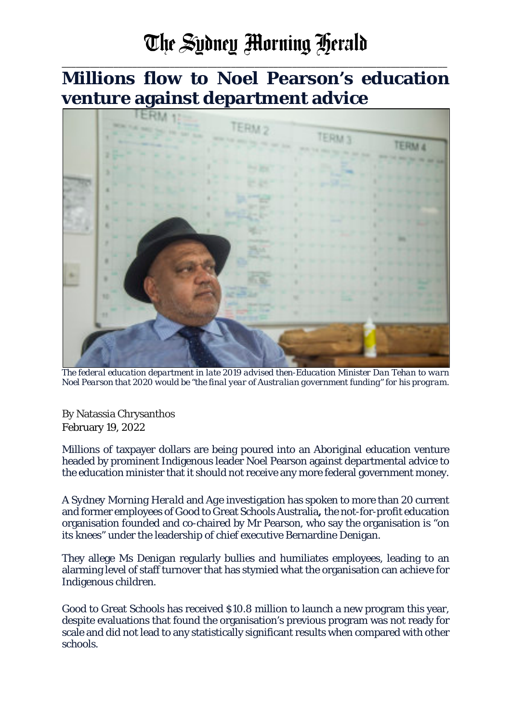## The Sydney Morning Herald

\_\_\_\_\_\_\_\_\_\_\_\_\_\_\_\_\_\_\_\_\_\_\_\_\_\_\_\_\_\_\_\_\_\_\_\_\_\_\_\_\_\_\_\_\_\_\_\_\_\_\_\_\_\_\_\_\_\_\_\_\_\_\_\_\_\_\_\_\_\_\_\_\_\_\_\_\_\_\_\_\_\_

**Millions flow to Noel Pearson's education venture against department advice**



*The federal education department in late 2019 advised then-Education Minister Dan Tehan to warn Noel Pearson that 2020 would be "the final year of Australian government funding" for his program.*

By Natassia Chrysanthos February 19, 2022

Millions of taxpayer dollars are being poured into an Aboriginal education venture headed by prominent Indigenous leader Noel Pearson against departmental advice to the education minister that it should not receive any more federal government money.

A *Sydney Morning Herald* and *Age* investigation has spoken to more than 20 current and former employees of Good to Great Schools Australia**,** the not-for-profit education organisation founded and co-chaired by Mr Pearson, who say the organisation is "on its knees" under the leadership of chief executive Bernardine Denigan.

They allege Ms Denigan regularly bullies and humiliates employees, leading to an alarming level of staff turnover that has stymied what the organisation can achieve for Indigenous children.

Good to Great Schools has received \$10.8 million to launch a new program this year, despite evaluations that found the organisation's previous program was not ready for scale and did not lead to any statistically significant results when compared with other schools.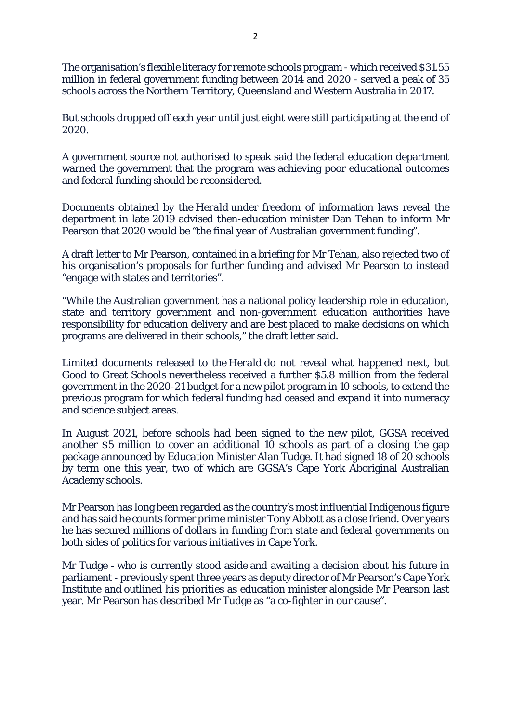The organisation's flexible literacy for remote schools program - which received \$31.55 million in federal government funding between 2014 and 2020 - served a peak of 35 schools across the Northern Territory, Queensland and Western Australia in 2017.

But schools dropped off each year until just eight were still participating at the end of 2020.

A government source not authorised to speak said the federal education department warned the government that the program was achieving poor educational outcomes and federal funding should be reconsidered.

Documents obtained by the *Herald* under freedom of information laws reveal the department in late 2019 advised then-education minister Dan Tehan to inform Mr Pearson that 2020 would be "the final year of Australian government funding".

A draft letter to Mr Pearson, contained in a briefing for Mr Tehan, also rejected two of his organisation's proposals for further funding and advised Mr Pearson to instead "engage with states and territories".

"While the Australian government has a national policy leadership role in education, state and territory government and non-government education authorities have responsibility for education delivery and are best placed to make decisions on which programs are delivered in their schools," the draft letter said.

Limited documents released to the *Herald* do not reveal what happened next, but Good to Great Schools nevertheless received a further \$5.8 million from the federal government in the 2020-21 budget for a new pilot program in 10 schools, to extend the previous program for which federal funding had ceased and expand it into numeracy and science subject areas.

In August 2021, before schools had been signed to the new pilot, GGSA received another \$5 million to cover an additional 10 schools as part of a closing the gap package announced by Education Minister Alan Tudge. It had signed 18 of 20 schools by term one this year, two of which are GGSA's Cape York Aboriginal Australian Academy schools.

Mr Pearson has long been regarded as the country's most influential Indigenous figure and has said he counts former prime minister Tony Abbott as a close friend. Over years he has secured millions of dollars in funding from state and federal governments on both sides of politics for various initiatives in Cape York.

Mr Tudge - who is currently stood aside and awaiting a decision about his future in parliament - previously spent three years as deputy director of Mr Pearson's Cape York Institute and outlined his priorities as education minister alongside Mr Pearson last year. Mr Pearson has described Mr Tudge as "a co-fighter in our cause".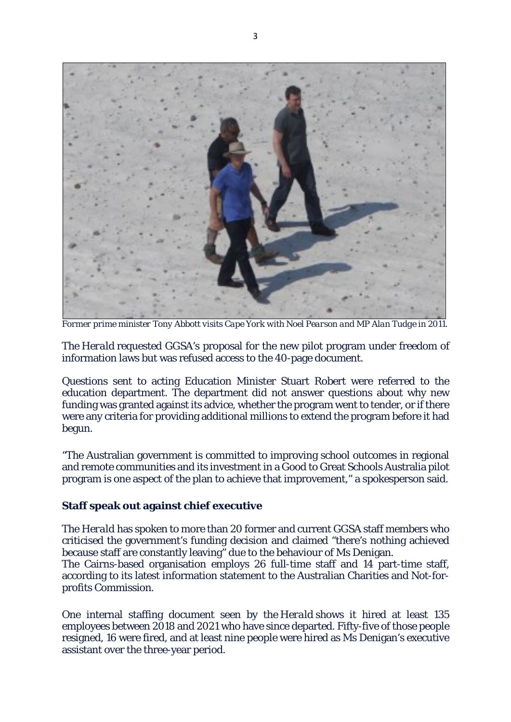

*Former prime minister Tony Abbott visits Cape York with Noel Pearson and MP Alan Tudge in 2011.*

The *Herald* requested GGSA's proposal for the new pilot program under freedom of information laws but was refused access to the 40-page document.

Questions sent to acting Education Minister Stuart Robert were referred to the education department. The department did not answer questions about why new funding was granted against its advice, whether the program went to tender, or if there were any criteria for providing additional millions to extend the program before it had begun.

"The Australian government is committed to improving school outcomes in regional and remote communities and its investment in a Good to Great Schools Australia pilot program is one aspect of the plan to achieve that improvement," a spokesperson said.

## **Staff speak out against chief executive**

The *Herald* has spoken to more than 20 former and current GGSA staff members who criticised the government's funding decision and claimed "there's nothing achieved because staff are constantly leaving" due to the behaviour of Ms Denigan.

The Cairns-based organisation employs 26 full-time staff and 14 part-time staff, according to its latest information statement to the Australian Charities and Not-forprofits Commission.

One internal staffing document seen by the *Herald* shows it hired at least 135 employees between 2018 and 2021 who have since departed. Fifty-five of those people resigned, 16 were fired, and at least nine people were hired as Ms Denigan's executive assistant over the three-year period.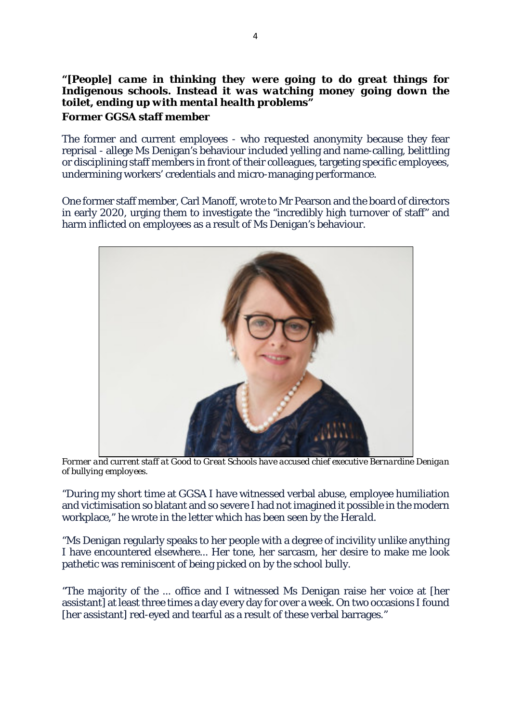## *"[People] came in thinking they were going to do great things for Indigenous schools. Instead it was watching money going down the toilet, ending up with mental health problems"* **Former GGSA staff member**

The former and current employees - who requested anonymity because they fear reprisal - allege Ms Denigan's behaviour included yelling and name-calling, belittling or disciplining staff members in front of their colleagues, targeting specific employees, undermining workers' credentials and micro-managing performance.

One former staff member, Carl Manoff, wrote to Mr Pearson and the board of directors in early 2020, urging them to investigate the "incredibly high turnover of staff" and harm inflicted on employees as a result of Ms Denigan's behaviour.



*Former and current staff at Good to Great Schools have accused chief executive Bernardine Denigan of bullying employees.*

"During my short time at GGSA I have witnessed verbal abuse, employee humiliation and victimisation so blatant and so severe I had not imagined it possible in the modern workplace," he wrote in the letter which has been seen by the *Herald*.

"Ms Denigan regularly speaks to her people with a degree of incivility unlike anything I have encountered elsewhere... Her tone, her sarcasm, her desire to make me look pathetic was reminiscent of being picked on by the school bully.

"The majority of the ... office and I witnessed Ms Denigan raise her voice at [her assistant] at least three times a day every day for over a week. On two occasions I found [her assistant] red-eved and tearful as a result of these verbal barrages."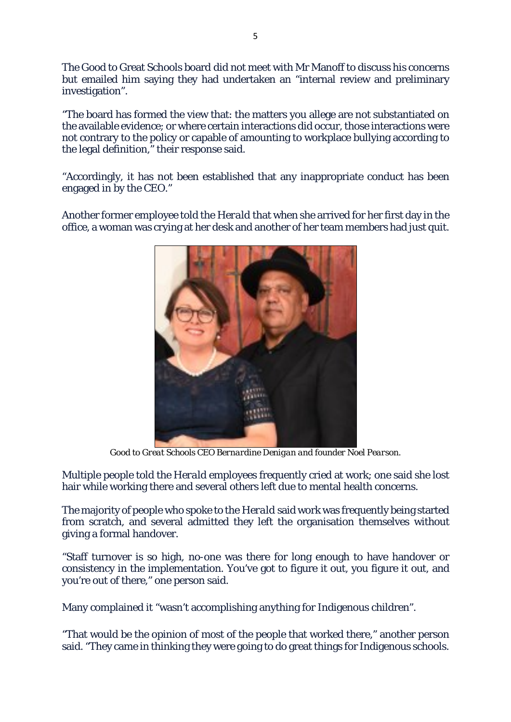The Good to Great Schools board did not meet with Mr Manoff to discuss his concerns but emailed him saying they had undertaken an "internal review and preliminary investigation".

"The board has formed the view that: the matters you allege are not substantiated on the available evidence; or where certain interactions did occur, those interactions were not contrary to the policy or capable of amounting to workplace bullying according to the legal definition," their response said.

"Accordingly, it has not been established that any inappropriate conduct has been engaged in by the CEO."

Another former employee told the *Herald* that when she arrived for her first day in the office, a woman was crying at her desk and another of her team members had just quit.



*Good to Great Schools CEO Bernardine Denigan and founder Noel Pearson.*

Multiple people told the *Herald* employees frequently cried at work; one said she lost hair while working there and several others left due to mental health concerns.

The majority of people who spoke to the *Herald* said work was frequently being started from scratch, and several admitted they left the organisation themselves without giving a formal handover.

"Staff turnover is so high, no-one was there for long enough to have handover or consistency in the implementation. You've got to figure it out, you figure it out, and you're out of there," one person said.

Many complained it "wasn't accomplishing anything for Indigenous children".

"That would be the opinion of most of the people that worked there," another person said. "They came in thinking they were going to do great things for Indigenous schools.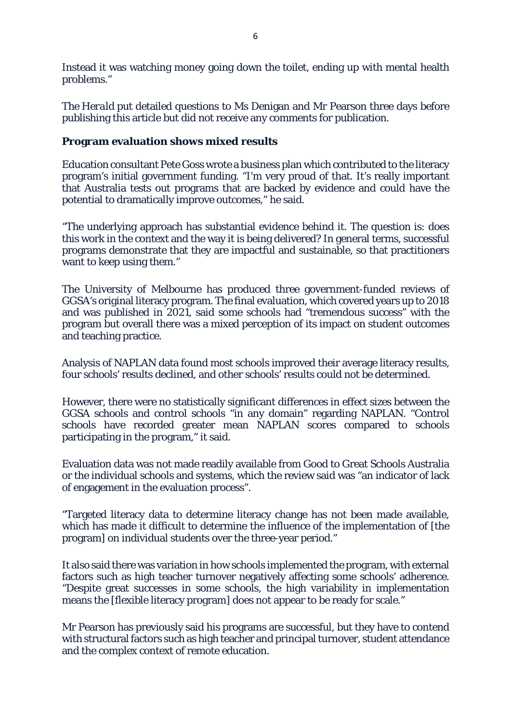Instead it was watching money going down the toilet, ending up with mental health problems."

The *Herald* put detailed questions to Ms Denigan and Mr Pearson three days before publishing this article but did not receive any comments for publication.

## **Program evaluation shows mixed results**

Education consultant Pete Goss wrote a business plan which contributed to the literacy program's initial government funding. "I'm very proud of that. It's really important that Australia tests out programs that are backed by evidence and could have the potential to dramatically improve outcomes," he said.

"The underlying approach has substantial evidence behind it. The question is: does this work in the context and the way it is being delivered? In general terms, successful programs demonstrate that they are impactful and sustainable, so that practitioners want to keep using them."

The University of Melbourne has produced three government-funded reviews of GGSA's original literacy program. The final evaluation, which covered years up to 2018 and was published in 2021, said some schools had "tremendous success" with the program but overall there was a mixed perception of its impact on student outcomes and teaching practice.

Analysis of NAPLAN data found most schools improved their average literacy results, four schools' results declined, and other schools' results could not be determined.

However, there were no statistically significant differences in effect sizes between the GGSA schools and control schools "in any domain" regarding NAPLAN. "Control schools have recorded greater mean NAPLAN scores compared to schools participating in the program," it said.

Evaluation data was not made readily available from Good to Great Schools Australia or the individual schools and systems, which the review said was "an indicator of lack of engagement in the evaluation process".

"Targeted literacy data to determine literacy change has not been made available, which has made it difficult to determine the influence of the implementation of [the program] on individual students over the three-year period."

It also said there was variation in how schools implemented the program, with external factors such as high teacher turnover negatively affecting some schools' adherence. "Despite great successes in some schools, the high variability in implementation means the [flexible literacy program] does not appear to be ready for scale."

Mr Pearson has previously said his programs are successful, but they have to contend with structural factors such as high teacher and principal turnover, student attendance and the complex context of remote education.